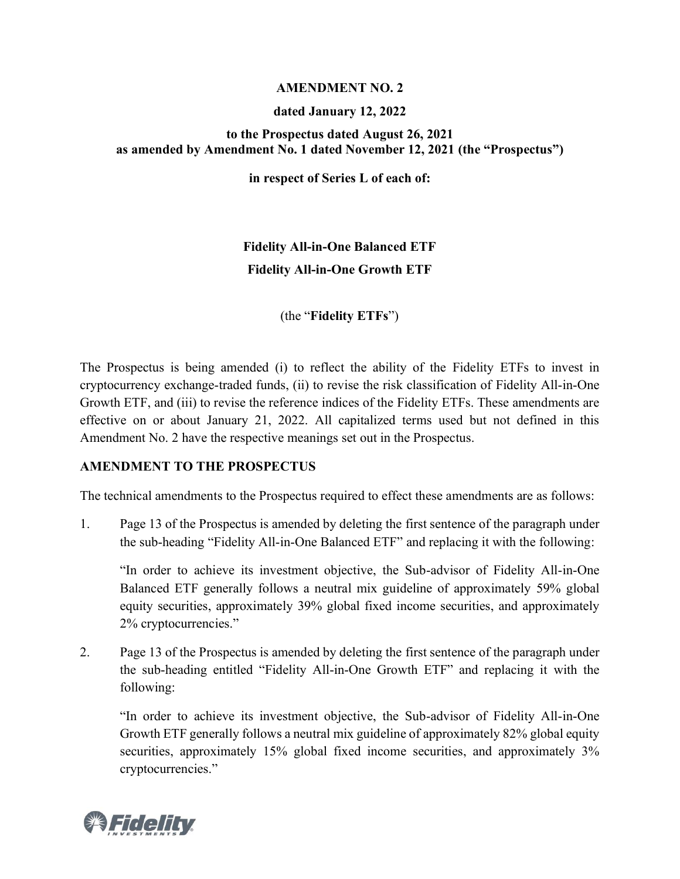### **AMENDMENT NO. 2**

## **dated January 12, 2022**

## **to the Prospectus dated August 26, 2021 as amended by Amendment No. 1 dated November 12, 2021 (the "Prospectus")**

**in respect of Series L of each of:**

# **Fidelity All-in-One Balanced ETF Fidelity All-in-One Growth ETF**

(the "**Fidelity ETFs**")

The Prospectus is being amended (i) to reflect the ability of the Fidelity ETFs to invest in cryptocurrency exchange-traded funds, (ii) to revise the risk classification of Fidelity All-in-One Growth ETF, and (iii) to revise the reference indices of the Fidelity ETFs. These amendments are effective on or about January 21, 2022. All capitalized terms used but not defined in this Amendment No. 2 have the respective meanings set out in the Prospectus.

## **AMENDMENT TO THE PROSPECTUS**

The technical amendments to the Prospectus required to effect these amendments are as follows:

1. Page 13 of the Prospectus is amended by deleting the first sentence of the paragraph under the sub-heading "Fidelity All-in-One Balanced ETF" and replacing it with the following:

"In order to achieve its investment objective, the Sub-advisor of Fidelity All-in-One Balanced ETF generally follows a neutral mix guideline of approximately 59% global equity securities, approximately 39% global fixed income securities, and approximately 2% cryptocurrencies."

2. Page 13 of the Prospectus is amended by deleting the first sentence of the paragraph under the sub-heading entitled "Fidelity All-in-One Growth ETF" and replacing it with the following:

"In order to achieve its investment objective, the Sub-advisor of Fidelity All-in-One Growth ETF generally follows a neutral mix guideline of approximately 82% global equity securities, approximately 15% global fixed income securities, and approximately 3% cryptocurrencies."

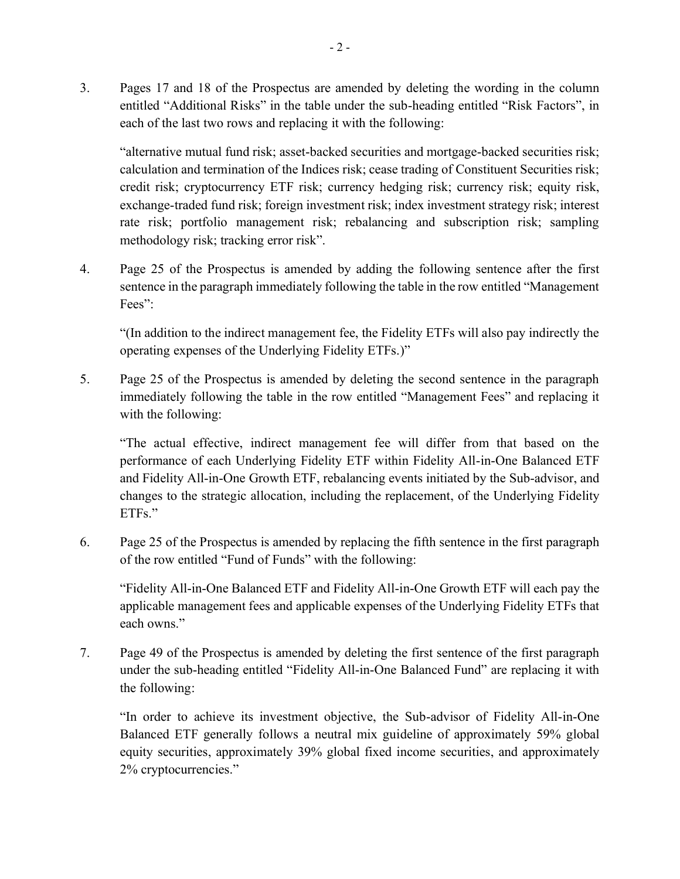3. Pages 17 and 18 of the Prospectus are amended by deleting the wording in the column entitled "Additional Risks" in the table under the sub-heading entitled "Risk Factors", in each of the last two rows and replacing it with the following:

"alternative mutual fund risk; asset-backed securities and mortgage-backed securities risk; calculation and termination of the Indices risk; cease trading of Constituent Securities risk; credit risk; cryptocurrency ETF risk; currency hedging risk; currency risk; equity risk, exchange-traded fund risk; foreign investment risk; index investment strategy risk; interest rate risk; portfolio management risk; rebalancing and subscription risk; sampling methodology risk; tracking error risk".

4. Page 25 of the Prospectus is amended by adding the following sentence after the first sentence in the paragraph immediately following the table in the row entitled "Management Fees":

"(In addition to the indirect management fee, the Fidelity ETFs will also pay indirectly the operating expenses of the Underlying Fidelity ETFs.)"

5. Page 25 of the Prospectus is amended by deleting the second sentence in the paragraph immediately following the table in the row entitled "Management Fees" and replacing it with the following:

"The actual effective, indirect management fee will differ from that based on the performance of each Underlying Fidelity ETF within Fidelity All-in-One Balanced ETF and Fidelity All-in-One Growth ETF, rebalancing events initiated by the Sub-advisor, and changes to the strategic allocation, including the replacement, of the Underlying Fidelity ETFs."

6. Page 25 of the Prospectus is amended by replacing the fifth sentence in the first paragraph of the row entitled "Fund of Funds" with the following:

"Fidelity All-in-One Balanced ETF and Fidelity All-in-One Growth ETF will each pay the applicable management fees and applicable expenses of the Underlying Fidelity ETFs that each owns."

7. Page 49 of the Prospectus is amended by deleting the first sentence of the first paragraph under the sub-heading entitled "Fidelity All-in-One Balanced Fund" are replacing it with the following:

"In order to achieve its investment objective, the Sub-advisor of Fidelity All-in-One Balanced ETF generally follows a neutral mix guideline of approximately 59% global equity securities, approximately 39% global fixed income securities, and approximately 2% cryptocurrencies."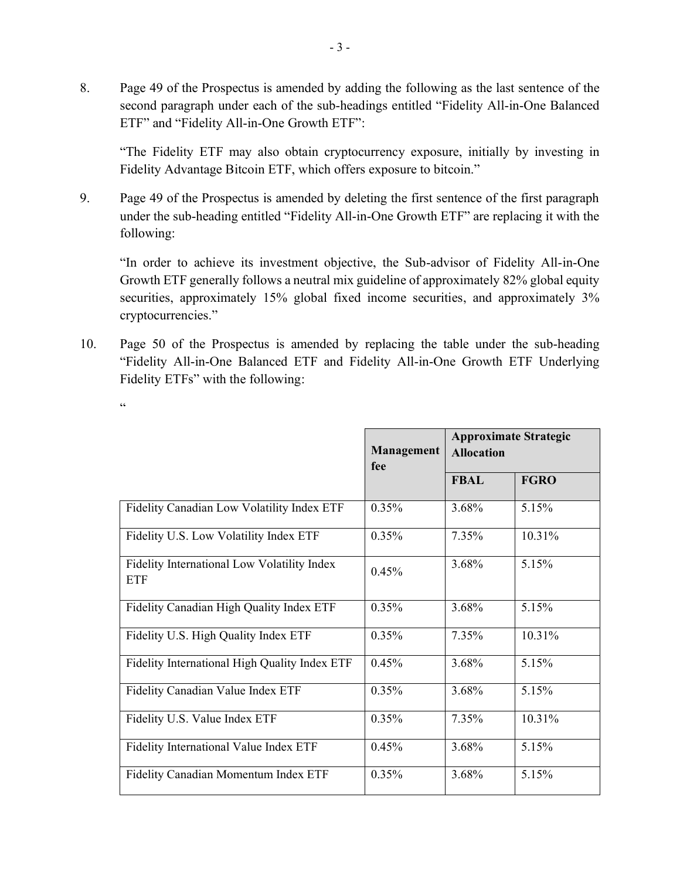8. Page 49 of the Prospectus is amended by adding the following as the last sentence of the second paragraph under each of the sub-headings entitled "Fidelity All-in-One Balanced ETF" and "Fidelity All-in-One Growth ETF":

"The Fidelity ETF may also obtain cryptocurrency exposure, initially by investing in Fidelity Advantage Bitcoin ETF, which offers exposure to bitcoin."

9. Page 49 of the Prospectus is amended by deleting the first sentence of the first paragraph under the sub-heading entitled "Fidelity All-in-One Growth ETF" are replacing it with the following:

"In order to achieve its investment objective, the Sub-advisor of Fidelity All-in-One Growth ETF generally follows a neutral mix guideline of approximately 82% global equity securities, approximately 15% global fixed income securities, and approximately 3% cryptocurrencies."

10. Page 50 of the Prospectus is amended by replacing the table under the sub-heading "Fidelity All-in-One Balanced ETF and Fidelity All-in-One Growth ETF Underlying Fidelity ETFs" with the following:

 $\ddot{\epsilon}$ 

|                                                           | Management<br>fee | <b>Approximate Strategic</b><br><b>Allocation</b> |             |
|-----------------------------------------------------------|-------------------|---------------------------------------------------|-------------|
|                                                           |                   | <b>FBAL</b>                                       | <b>FGRO</b> |
| Fidelity Canadian Low Volatility Index ETF                | 0.35%             | 3.68%                                             | 5.15%       |
| Fidelity U.S. Low Volatility Index ETF                    | $0.35\%$          | 7.35%                                             | 10.31%      |
| Fidelity International Low Volatility Index<br><b>ETF</b> | 0.45%             | 3.68%                                             | 5.15%       |
| Fidelity Canadian High Quality Index ETF                  | 0.35%             | 3.68%                                             | 5.15%       |
| Fidelity U.S. High Quality Index ETF                      | $0.35\%$          | 7.35%                                             | 10.31%      |
| Fidelity International High Quality Index ETF             | 0.45%             | 3.68%                                             | 5.15%       |
| Fidelity Canadian Value Index ETF                         | $0.35\%$          | 3.68%                                             | 5.15%       |
| Fidelity U.S. Value Index ETF                             | 0.35%             | 7.35%                                             | 10.31%      |
| Fidelity International Value Index ETF                    | 0.45%             | 3.68%                                             | 5.15%       |
| <b>Fidelity Canadian Momentum Index ETF</b>               | $0.35\%$          | 3.68%                                             | 5.15%       |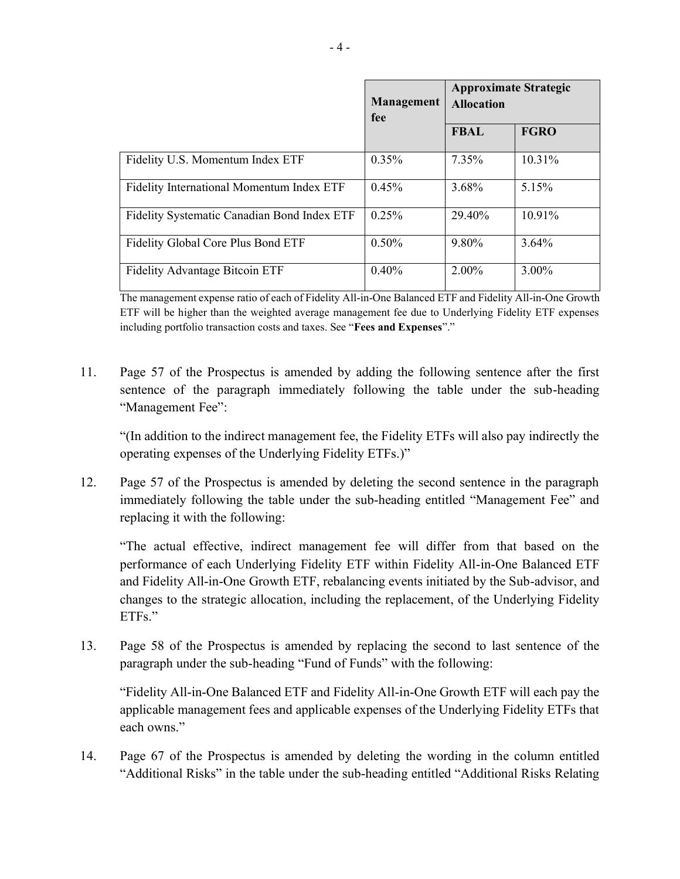|                                             | Management<br>fee | <b>Approximate Strategic</b><br><b>Allocation</b> |             |
|---------------------------------------------|-------------------|---------------------------------------------------|-------------|
|                                             |                   | <b>FBAL</b>                                       | <b>FGRO</b> |
| Fidelity U.S. Momentum Index ETF            | $0.35\%$          | 7.35%                                             | 10.31%      |
| Fidelity International Momentum Index ETF   | 0.45%             | 3.68%                                             | 5.15%       |
| Fidelity Systematic Canadian Bond Index ETF | 0.25%             | 29.40%                                            | 10.91%      |
| Fidelity Global Core Plus Bond ETF          | $0.50\%$          | 9.80%                                             | 3.64%       |
| <b>Fidelity Advantage Bitcoin ETF</b>       | 0.40%             | $2.00\%$                                          | $3.00\%$    |

The management expense ratio of each of Fidelity All-in-One Balanced ETF and Fidelity All-in-One Growth ETF will be higher than the weighted average management fee due to Underlying Fidelity ETF expenses including portfolio transaction costs and taxes. See "**Fees and Expenses**"."

11. Page 57 of the Prospectus is amended by adding the following sentence after the first sentence of the paragraph immediately following the table under the sub-heading "Management Fee":

"(In addition to the indirect management fee, the Fidelity ETFs will also pay indirectly the operating expenses of the Underlying Fidelity ETFs.)"

12. Page 57 of the Prospectus is amended by deleting the second sentence in the paragraph immediately following the table under the sub-heading entitled "Management Fee" and replacing it with the following:

"The actual effective, indirect management fee will differ from that based on the performance of each Underlying Fidelity ETF within Fidelity All-in-One Balanced ETF and Fidelity All-in-One Growth ETF, rebalancing events initiated by the Sub-advisor, and changes to the strategic allocation, including the replacement, of the Underlying Fidelity ETFs."

13. Page 58 of the Prospectus is amended by replacing the second to last sentence of the paragraph under the sub-heading "Fund of Funds" with the following:

"Fidelity All-in-One Balanced ETF and Fidelity All-in-One Growth ETF will each pay the applicable management fees and applicable expenses of the Underlying Fidelity ETFs that each owns."

14. Page 67 of the Prospectus is amended by deleting the wording in the column entitled "Additional Risks" in the table under the sub-heading entitled "Additional Risks Relating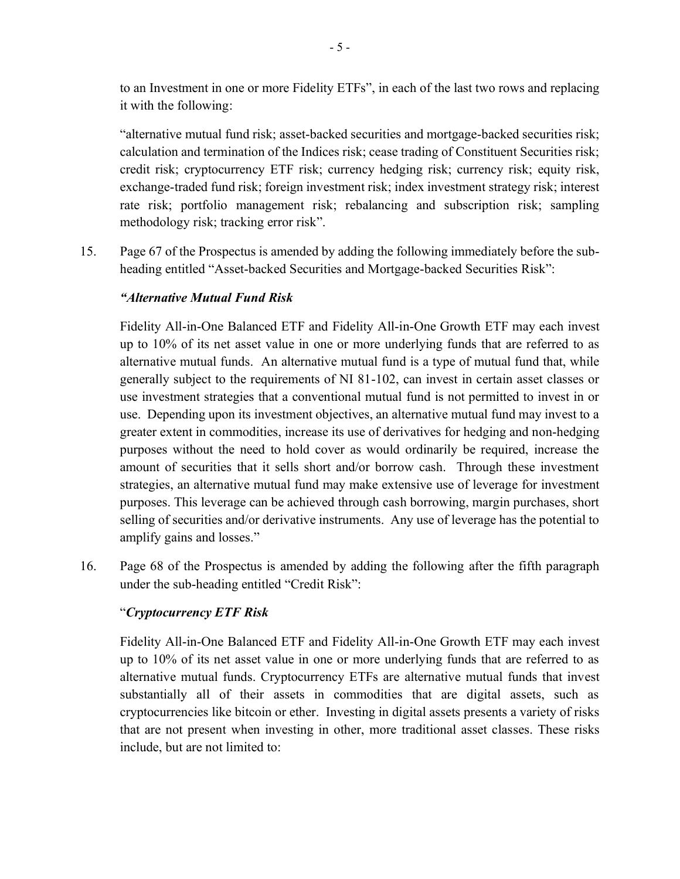to an Investment in one or more Fidelity ETFs", in each of the last two rows and replacing it with the following:

"alternative mutual fund risk; asset-backed securities and mortgage-backed securities risk; calculation and termination of the Indices risk; cease trading of Constituent Securities risk; credit risk; cryptocurrency ETF risk; currency hedging risk; currency risk; equity risk, exchange-traded fund risk; foreign investment risk; index investment strategy risk; interest rate risk; portfolio management risk; rebalancing and subscription risk; sampling methodology risk; tracking error risk".

15. Page 67 of the Prospectus is amended by adding the following immediately before the subheading entitled "Asset-backed Securities and Mortgage-backed Securities Risk":

## *"Alternative Mutual Fund Risk*

Fidelity All-in-One Balanced ETF and Fidelity All-in-One Growth ETF may each invest up to 10% of its net asset value in one or more underlying funds that are referred to as alternative mutual funds. An alternative mutual fund is a type of mutual fund that, while generally subject to the requirements of NI 81-102, can invest in certain asset classes or use investment strategies that a conventional mutual fund is not permitted to invest in or use. Depending upon its investment objectives, an alternative mutual fund may invest to a greater extent in commodities, increase its use of derivatives for hedging and non-hedging purposes without the need to hold cover as would ordinarily be required, increase the amount of securities that it sells short and/or borrow cash. Through these investment strategies, an alternative mutual fund may make extensive use of leverage for investment purposes. This leverage can be achieved through cash borrowing, margin purchases, short selling of securities and/or derivative instruments. Any use of leverage has the potential to amplify gains and losses."

16. Page 68 of the Prospectus is amended by adding the following after the fifth paragraph under the sub-heading entitled "Credit Risk":

## "*Cryptocurrency ETF Risk*

Fidelity All-in-One Balanced ETF and Fidelity All-in-One Growth ETF may each invest up to 10% of its net asset value in one or more underlying funds that are referred to as alternative mutual funds. Cryptocurrency ETFs are alternative mutual funds that invest substantially all of their assets in commodities that are digital assets, such as cryptocurrencies like bitcoin or ether. Investing in digital assets presents a variety of risks that are not present when investing in other, more traditional asset classes. These risks include, but are not limited to: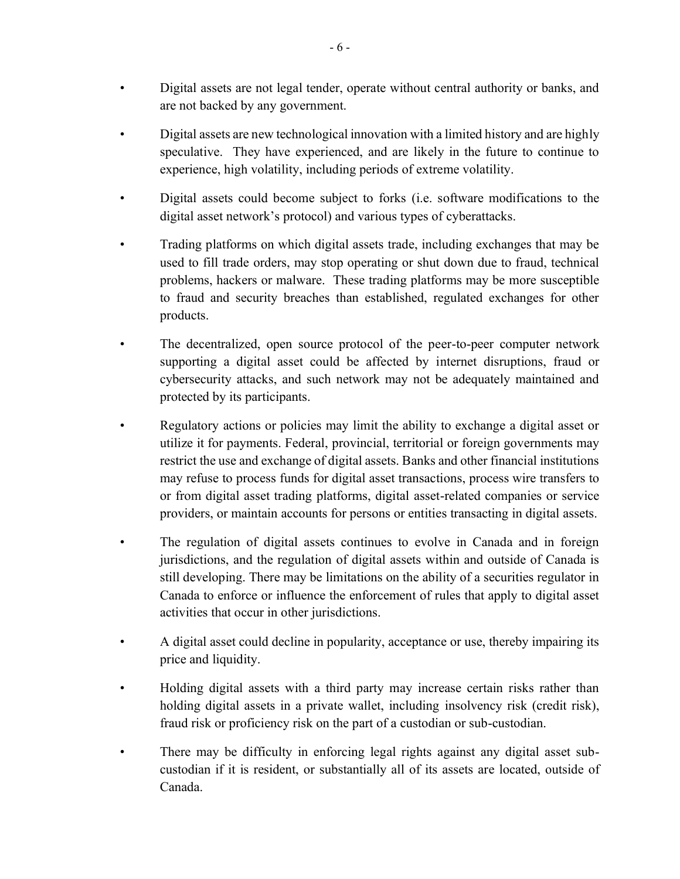- Digital assets are not legal tender, operate without central authority or banks, and are not backed by any government.
- Digital assets are new technological innovation with a limited history and are highly speculative. They have experienced, and are likely in the future to continue to experience, high volatility, including periods of extreme volatility.
- Digital assets could become subject to forks (i.e. software modifications to the digital asset network's protocol) and various types of cyberattacks.
- Trading platforms on which digital assets trade, including exchanges that may be used to fill trade orders, may stop operating or shut down due to fraud, technical problems, hackers or malware. These trading platforms may be more susceptible to fraud and security breaches than established, regulated exchanges for other products.
- The decentralized, open source protocol of the peer-to-peer computer network supporting a digital asset could be affected by internet disruptions, fraud or cybersecurity attacks, and such network may not be adequately maintained and protected by its participants.
- Regulatory actions or policies may limit the ability to exchange a digital asset or utilize it for payments. Federal, provincial, territorial or foreign governments may restrict the use and exchange of digital assets. Banks and other financial institutions may refuse to process funds for digital asset transactions, process wire transfers to or from digital asset trading platforms, digital asset-related companies or service providers, or maintain accounts for persons or entities transacting in digital assets.
- The regulation of digital assets continues to evolve in Canada and in foreign jurisdictions, and the regulation of digital assets within and outside of Canada is still developing. There may be limitations on the ability of a securities regulator in Canada to enforce or influence the enforcement of rules that apply to digital asset activities that occur in other jurisdictions.
- A digital asset could decline in popularity, acceptance or use, thereby impairing its price and liquidity.
- Holding digital assets with a third party may increase certain risks rather than holding digital assets in a private wallet, including insolvency risk (credit risk), fraud risk or proficiency risk on the part of a custodian or sub-custodian.
- There may be difficulty in enforcing legal rights against any digital asset subcustodian if it is resident, or substantially all of its assets are located, outside of Canada.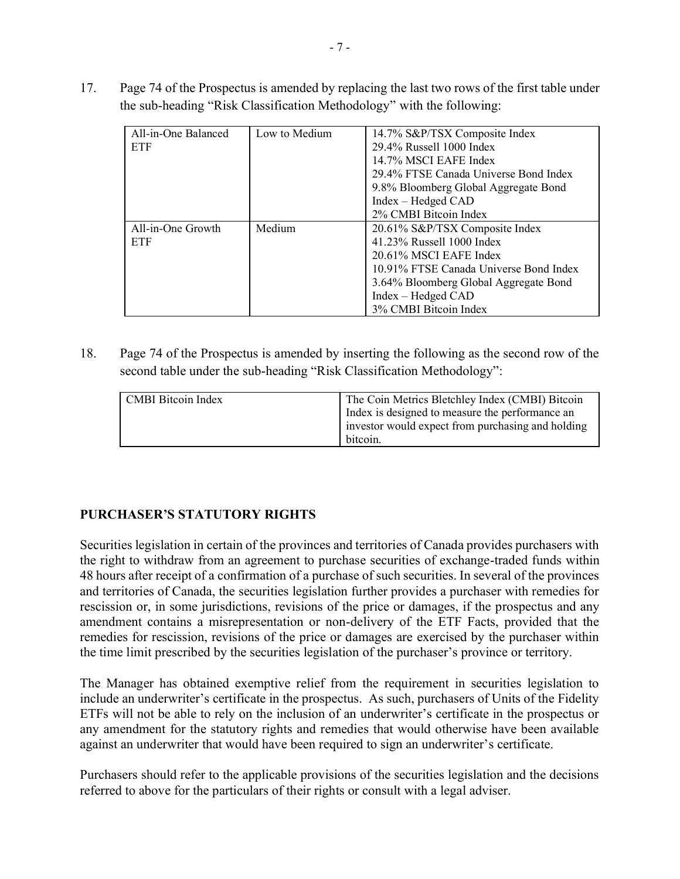17. Page 74 of the Prospectus is amended by replacing the last two rows of the first table under the sub-heading "Risk Classification Methodology" with the following:

| All-in-One Balanced<br>ETF | Low to Medium | 14.7% S&P/TSX Composite Index<br>29.4% Russell 1000 Index<br>14.7% MSCI EAFE Index<br>29.4% FTSE Canada Universe Bond Index<br>9.8% Bloomberg Global Aggregate Bond<br>Index – Hedged CAD<br>2% CMBI Bitcoin Index      |
|----------------------------|---------------|-------------------------------------------------------------------------------------------------------------------------------------------------------------------------------------------------------------------------|
| All-in-One Growth<br>ETF   | Medium        | 20.61% S&P/TSX Composite Index<br>41.23% Russell 1000 Index<br>20.61% MSCI EAFE Index<br>10.91% FTSE Canada Universe Bond Index<br>3.64% Bloomberg Global Aggregate Bond<br>Index - Hedged CAD<br>3% CMBI Bitcoin Index |

18. Page 74 of the Prospectus is amended by inserting the following as the second row of the second table under the sub-heading "Risk Classification Methodology":

| <b>CMBI</b> Bitcoin Index | The Coin Metrics Bletchley Index (CMBI) Bitcoin   |
|---------------------------|---------------------------------------------------|
|                           | Index is designed to measure the performance an   |
|                           | investor would expect from purchasing and holding |
|                           | bitcoin.                                          |

#### **PURCHASER'S STATUTORY RIGHTS**

Securities legislation in certain of the provinces and territories of Canada provides purchasers with the right to withdraw from an agreement to purchase securities of exchange-traded funds within 48 hours after receipt of a confirmation of a purchase of such securities. In several of the provinces and territories of Canada, the securities legislation further provides a purchaser with remedies for rescission or, in some jurisdictions, revisions of the price or damages, if the prospectus and any amendment contains a misrepresentation or non-delivery of the ETF Facts, provided that the remedies for rescission, revisions of the price or damages are exercised by the purchaser within the time limit prescribed by the securities legislation of the purchaser's province or territory.

The Manager has obtained exemptive relief from the requirement in securities legislation to include an underwriter's certificate in the prospectus. As such, purchasers of Units of the Fidelity ETFs will not be able to rely on the inclusion of an underwriter's certificate in the prospectus or any amendment for the statutory rights and remedies that would otherwise have been available against an underwriter that would have been required to sign an underwriter's certificate.

Purchasers should refer to the applicable provisions of the securities legislation and the decisions referred to above for the particulars of their rights or consult with a legal adviser.